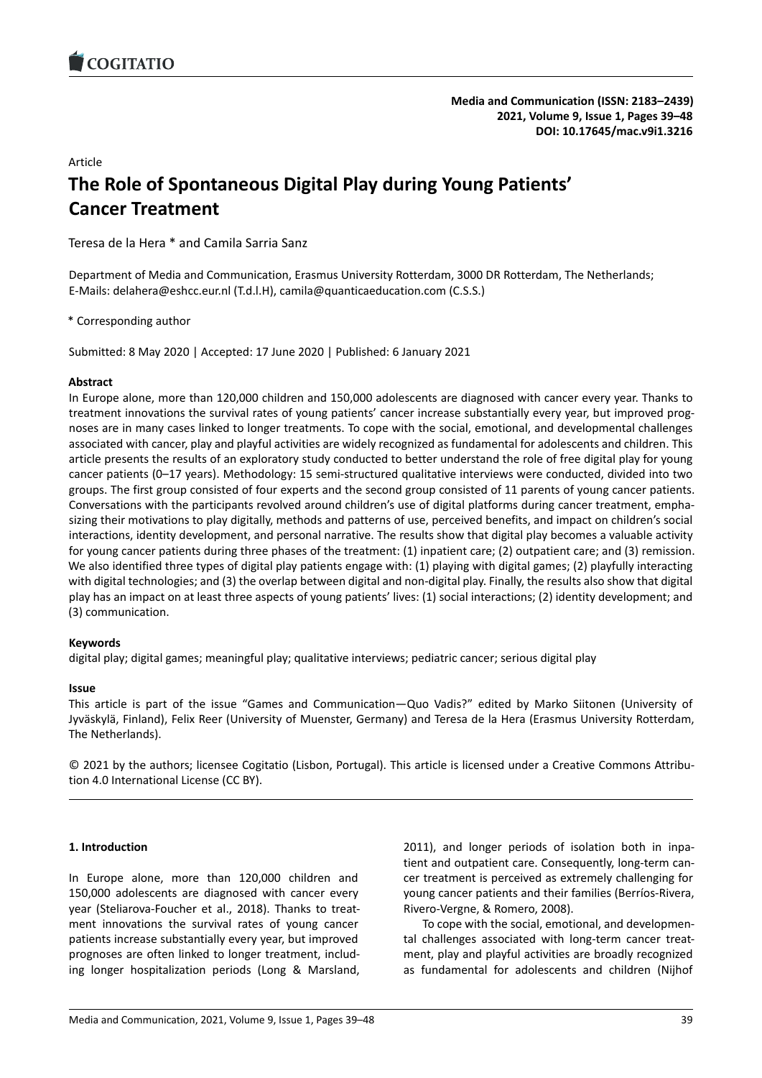# Article **The Role of Spontaneous Digital Play during Young Patient[s'](https://doi.org/10.17645/mac.v9i1.3216) Cancer Treatment**

Teresa de la Hera \* and Camila Sarria Sanz

Department of Media and Communication, Erasmus University Rotterdam, 3000 DR Rotterdam, The Netherlands; E-Mails: delahera@eshcc.eur.nl (T.d.l.H), camila@quanticaeducation.com (C.S.S.)

\* Corresponding author

Submitted: 8 May 2020 | Accepted: 17 June 2020 | Published: 6 January 2021

## **Abstract**

In Europe alone, more than 120,000 children and 150,000 adolescents are diagnosed with cancer every year. Thanks to treatment innovations the survival rates of young patients' cancer increase substantially every year, but improved prognoses are in many cases linked to longer treatments. To cope with the social, emotional, and developmental challenges associated with cancer, play and playful activities are widely recognized as fundamental for adolescents and children. This article presents the results of an exploratory study conducted to better understand the role of free digital play for young cancer patients (0–17 years). Methodology: 15 semi-structured qualitative interviews were conducted, divided into two groups. The first group consisted of four experts and the second group consisted of 11 parents of young cancer patients. Conversations with the participants revolved around children's use of digital platforms during cancer treatment, emphasizing their motivations to play digitally, methods and patterns of use, perceived benefits, and impact on children's social interactions, identity development, and personal narrative. The results show that digital play becomes a valuable activity for young cancer patients during three phases of the treatment: (1) inpatient care; (2) outpatient care; and (3) remission. We also identified three types of digital play patients engage with: (1) playing with digital games; (2) playfully interacting with digital technologies; and (3) the overlap between digital and non-digital play. Finally, the results also show that digital play has an impact on at least three aspects of young patients' lives: (1) social interactions; (2) identity development; and (3) communication.

# **Keywords**

digital play; digital games; meaningful play; qualitative interviews; pediatric cancer; serious digital play

### **Issue**

This article is part of the issue "Games and Communication—Quo Vadis?" edited by Marko Siitonen (University of Jyväskylä, Finland), Felix Reer (University of Muenster, Germany) and Teresa de la Hera (Erasmus University Rotterdam, The Netherlands).

© 2021 by the authors; licensee Cogitatio (Lisbon, Portugal). This article is licensed under a Creative Commons Attribution 4.0 International License (CC BY).

### **1. Introduction**

In Europe alone, more than 120,000 children and 150,000 adolescents are diagnosed with cancer every year (Steliarova-Foucher et al., 2018). Thanks to treatment innovations the survival rates of young cancer patients increase substantially every year, but improved prognoses are often linked to longer treatment, including longer hospitalization periods (Long & Marsland,

2011), and longer periods of isolation both in inpatient and outpatient care. Consequently, long-term cancer treatment is perceived as extremely challenging for young cancer patients and their families (Berríos-Rivera, Rivero-Vergne, & Romero, 2008).

To cope with the social, emotional, and developmental challenges associated with long-term cancer treatment, play and playful activities are broadly recognized as fundamental for adolescents and children (Nijhof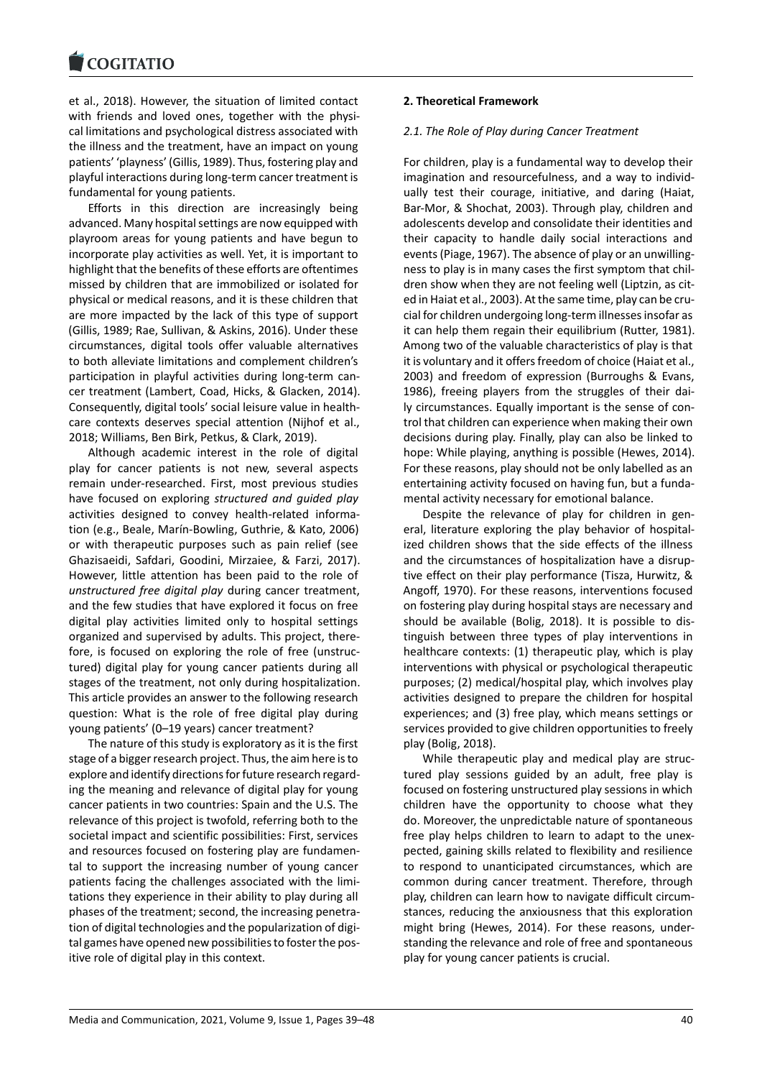et al., 2018). However, the situation of limited contact [with friends and lov](https://www.cogitatiopress.com)ed ones, together with the physical limitations and psychological distress associated with the illness and the treatment, have an impact on young patients' 'playness' (Gillis, 1989). Thus, fostering play and playful interactions during long-term cancer treatment is fundamental for young patients.

Efforts in this direction are increasingly being advanced. Many hospital settings are now equipped with playroom areas for young patients and have begun to incorporate play activities as well. Yet, it is important to highlight that the benefits of these efforts are oftentimes missed by children that are immobilized or isolated for physical or medical reasons, and it is these children that are more impacted by the lack of this type of support (Gillis, 1989; Rae, Sullivan, & Askins, 2016). Under these circumstances, digital tools offer valuable alternatives to both alleviate limitations and complement children's participation in playful activities during long-term cancer treatment (Lambert, Coad, Hicks, & Glacken, 2014). Consequently, digital tools' social leisure value in healthcare contexts deserves special attention (Nijhof et al., 2018; Williams, Ben Birk, Petkus, & Clark, 2019).

Although academic interest in the role of digital play for cancer patients is not new, several aspects remain under-researched. First, most previous studies have focused on exploring *structured and guided play* activities designed to convey health-related information (e.g., Beale, Marín-Bowling, Guthrie, & Kato, 2006) or with therapeutic purposes such as pain relief (see Ghazisaeidi, Safdari, Goodini, Mirzaiee, & Farzi, 2017). However, little attention has been paid to the role of *unstructured free digital play* during cancer treatment, and the few studies that have explored it focus on free digital play activities limited only to hospital settings organized and supervised by adults. This project, therefore, is focused on exploring the role of free (unstructured) digital play for young cancer patients during all stages of the treatment, not only during hospitalization. This article provides an answer to the following research question: What is the role of free digital play during young patients' (0–19 years) cancer treatment?

The nature of this study is exploratory as it is the first stage of a bigger research project. Thus, the aim here is to explore and identify directions for future research regarding the meaning and relevance of digital play for young cancer patients in two countries: Spain and the U.S. The relevance of this project is twofold, referring both to the societal impact and scientific possibilities: First, services and resources focused on fostering play are fundamental to support the increasing number of young cancer patients facing the challenges associated with the limitations they experience in their ability to play during all phases of the treatment; second, the increasing penetration of digital technologies and the popularization of digital games have opened new possibilities to foster the positive role of digital play in this context.

### **2. Theoretical Framework**

### *2.1. The Role of Play during Cancer Treatment*

For children, play is a fundamental way to develop their imagination and resourcefulness, and a way to individually test their courage, initiative, and daring (Haiat, Bar-Mor, & Shochat, 2003). Through play, children and adolescents develop and consolidate their identities and their capacity to handle daily social interactions and events (Piage, 1967). The absence of play or an unwillingness to play is in many cases the first symptom that children show when they are not feeling well (Liptzin, as cited in Haiat et al., 2003). At the same time, play can be crucial for children undergoing long-term illnesses insofar as it can help them regain their equilibrium (Rutter, 1981). Among two of the valuable characteristics of play is that it is voluntary and it offers freedom of choice (Haiat et al., 2003) and freedom of expression (Burroughs & Evans, 1986), freeing players from the struggles of their daily circumstances. Equally important is the sense of control that children can experience when making their own decisions during play. Finally, play can also be linked to hope: While playing, anything is possible (Hewes, 2014). For these reasons, play should not be only labelled as an entertaining activity focused on having fun, but a fundamental activity necessary for emotional balance.

Despite the relevance of play for children in general, literature exploring the play behavior of hospitalized children shows that the side effects of the illness and the circumstances of hospitalization have a disruptive effect on their play performance (Tisza, Hurwitz, & Angoff, 1970). For these reasons, interventions focused on fostering play during hospital stays are necessary and should be available (Bolig, 2018). It is possible to distinguish between three types of play interventions in healthcare contexts: (1) therapeutic play, which is play interventions with physical or psychological therapeutic purposes; (2) medical/hospital play, which involves play activities designed to prepare the children for hospital experiences; and (3) free play, which means settings or services provided to give children opportunities to freely play (Bolig, 2018).

While therapeutic play and medical play are structured play sessions guided by an adult, free play is focused on fostering unstructured play sessions in which children have the opportunity to choose what they do. Moreover, the unpredictable nature of spontaneous free play helps children to learn to adapt to the unexpected, gaining skills related to flexibility and resilience to respond to unanticipated circumstances, which are common during cancer treatment. Therefore, through play, children can learn how to navigate difficult circumstances, reducing the anxiousness that this exploration might bring (Hewes, 2014). For these reasons, understanding the relevance and role of free and spontaneous play for young cancer patients is crucial.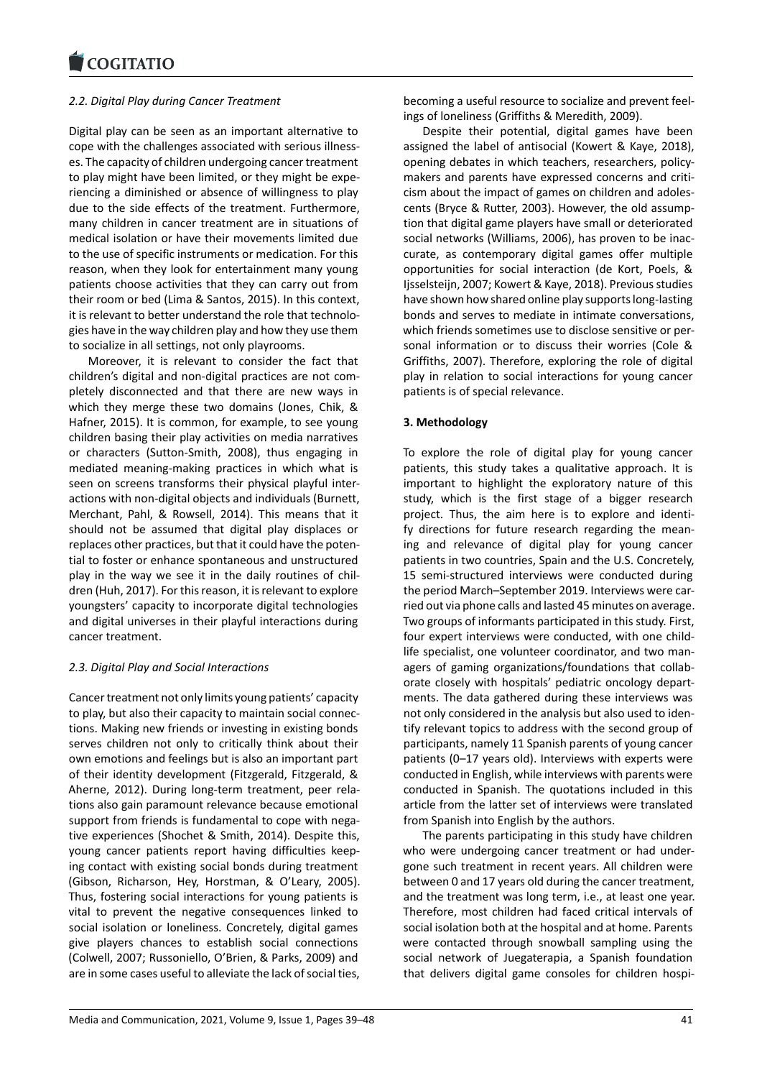#### **LOGITATIO**

# *2.2. Digital Play during Cancer Treatment*

[Digital play can be s](https://www.cogitatiopress.com)een as an important alternative to cope with the challenges associated with serious illnesses. The capacity of children undergoing cancer treatment to play might have been limited, or they might be experiencing a diminished or absence of willingness to play due to the side effects of the treatment. Furthermore, many children in cancer treatment are in situations of medical isolation or have their movements limited due to the use of specific instruments or medication. For this reason, when they look for entertainment many young patients choose activities that they can carry out from their room or bed (Lima & Santos, 2015). In this context, it is relevant to better understand the role that technologies have in the way children play and how they use them to socialize in all settings, not only playrooms.

Moreover, it is relevant to consider the fact that children's digital and non-digital practices are not completely disconnected and that there are new ways in which they merge these two domains (Jones, Chik, & Hafner, 2015). It is common, for example, to see young children basing their play activities on media narratives or characters (Sutton-Smith, 2008), thus engaging in mediated meaning-making practices in which what is seen on screens transforms their physical playful interactions with non-digital objects and individuals (Burnett, Merchant, Pahl, & Rowsell, 2014). This means that it should not be assumed that digital play displaces or replaces other practices, but that it could have the potential to foster or enhance spontaneous and unstructured play in the way we see it in the daily routines of children (Huh, 2017). For this reason, it is relevant to explore youngsters' capacity to incorporate digital technologies and digital universes in their playful interactions during cancer treatment.

# *2.3. Digital Play and Social Interactions*

Cancer treatment not only limits young patients' capacity to play, but also their capacity to maintain social connections. Making new friends or investing in existing bonds serves children not only to critically think about their own emotions and feelings but is also an important part of their identity development (Fitzgerald, Fitzgerald, & Aherne, 2012). During long-term treatment, peer relations also gain paramount relevance because emotional support from friends is fundamental to cope with negative experiences (Shochet & Smith, 2014). Despite this, young cancer patients report having difficulties keeping contact with existing social bonds during treatment (Gibson, Richarson, Hey, Horstman, & O'Leary, 2005). Thus, fostering social interactions for young patients is vital to prevent the negative consequences linked to social isolation or loneliness. Concretely, digital games give players chances to establish social connections (Colwell, 2007; Russoniello, O'Brien, & Parks, 2009) and are in some cases useful to alleviate the lack of social ties,

becoming a useful resource to socialize and prevent feelings of loneliness (Griffiths & Meredith, 2009).

Despite their potential, digital games have been assigned the label of antisocial (Kowert & Kaye, 2018), opening debates in which teachers, researchers, policymakers and parents have expressed concerns and criticism about the impact of games on children and adolescents (Bryce & Rutter, 2003). However, the old assumption that digital game players have small or deteriorated social networks (Williams, 2006), has proven to be inaccurate, as contemporary digital games offer multiple opportunities for social interaction (de Kort, Poels, & Ijsselsteijn, 2007; Kowert & Kaye, 2018). Previous studies have shown how shared online play supports long-lasting bonds and serves to mediate in intimate conversations, which friends sometimes use to disclose sensitive or personal information or to discuss their worries (Cole & Griffiths, 2007). Therefore, exploring the role of digital play in relation to social interactions for young cancer patients is of special relevance.

## **3. Methodology**

To explore the role of digital play for young cancer patients, this study takes a qualitative approach. It is important to highlight the exploratory nature of this study, which is the first stage of a bigger research project. Thus, the aim here is to explore and identify directions for future research regarding the meaning and relevance of digital play for young cancer patients in two countries, Spain and the U.S. Concretely, 15 semi-structured interviews were conducted during the period March–September 2019. Interviews were carried out via phone calls and lasted 45 minutes on average. Two groups of informants participated in this study. First, four expert interviews were conducted, with one childlife specialist, one volunteer coordinator, and two managers of gaming organizations/foundations that collaborate closely with hospitals' pediatric oncology departments. The data gathered during these interviews was not only considered in the analysis but also used to identify relevant topics to address with the second group of participants, namely 11 Spanish parents of young cancer patients (0–17 years old). Interviews with experts were conducted in English, while interviews with parents were conducted in Spanish. The quotations included in this article from the latter set of interviews were translated from Spanish into English by the authors.

The parents participating in this study have children who were undergoing cancer treatment or had undergone such treatment in recent years. All children were between 0 and 17 years old during the cancer treatment, and the treatment was long term, i.e., at least one year. Therefore, most children had faced critical intervals of social isolation both at the hospital and at home. Parents were contacted through snowball sampling using the social network of Juegaterapia, a Spanish foundation that delivers digital game consoles for children hospi-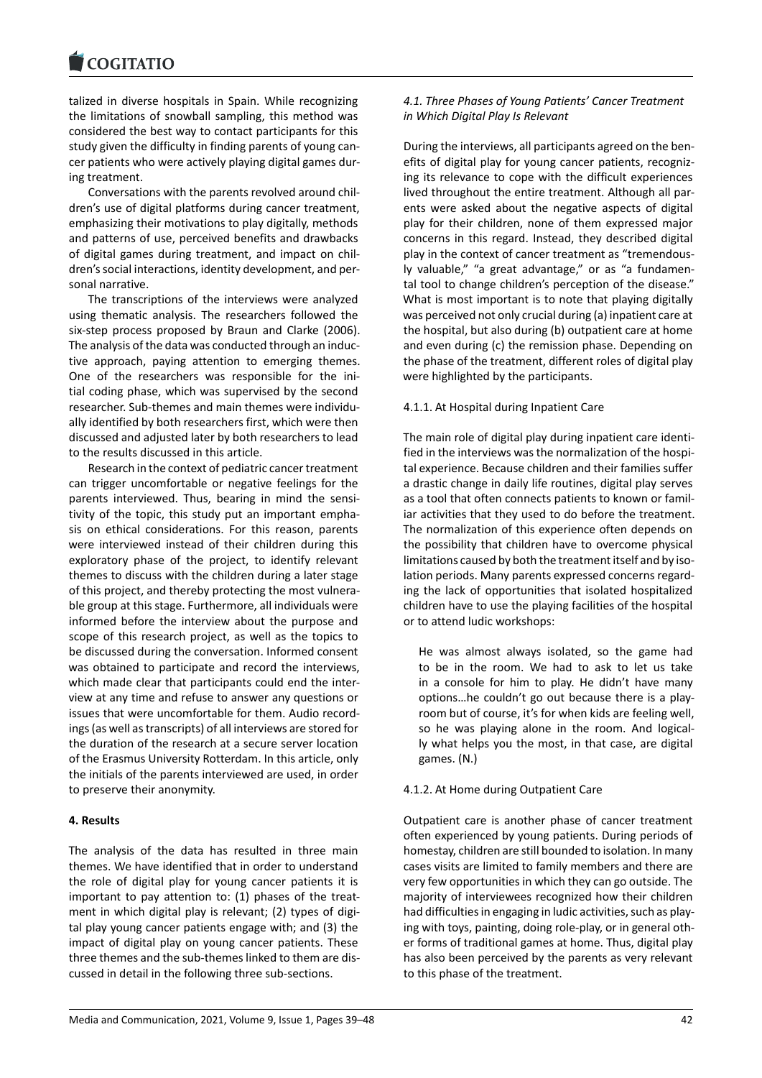#### **LOGITATIO**

talized in diverse hospitals in Spain. While recognizing [the limitations of sn](https://www.cogitatiopress.com)owball sampling, this method was considered the best way to contact participants for this study given the difficulty in finding parents of young cancer patients who were actively playing digital games during treatment.

Conversations with the parents revolved around children's use of digital platforms during cancer treatment, emphasizing their motivations to play digitally, methods and patterns of use, perceived benefits and drawbacks of digital games during treatment, and impact on children's social interactions, identity development, and personal narrative.

The transcriptions of the interviews were analyzed using thematic analysis. The researchers followed the six-step process proposed by Braun and Clarke (2006). The analysis of the data was conducted through an inductive approach, paying attention to emerging themes. One of the researchers was responsible for the initial coding phase, which was supervised by the second researcher. Sub-themes and main themes were individually identified by both researchers first, which were then discussed and adjusted later by both researchers to lead to the results discussed in this article.

Research in the context of pediatric cancer treatment can trigger uncomfortable or negative feelings for the parents interviewed. Thus, bearing in mind the sensitivity of the topic, this study put an important emphasis on ethical considerations. For this reason, parents were interviewed instead of their children during this exploratory phase of the project, to identify relevant themes to discuss with the children during a later stage of this project, and thereby protecting the most vulnerable group at this stage. Furthermore, all individuals were informed before the interview about the purpose and scope of this research project, as well as the topics to be discussed during the conversation. Informed consent was obtained to participate and record the interviews, which made clear that participants could end the interview at any time and refuse to answer any questions or issues that were uncomfortable for them. Audio recordings (as well as transcripts) of all interviews are stored for the duration of the research at a secure server location of the Erasmus University Rotterdam. In this article, only the initials of the parents interviewed are used, in order to preserve their anonymity.

#### **4. Results**

The analysis of the data has resulted in three main themes. We have identified that in order to understand the role of digital play for young cancer patients it is important to pay attention to: (1) phases of the treatment in which digital play is relevant; (2) types of digital play young cancer patients engage with; and (3) the impact of digital play on young cancer patients. These three themes and the sub-themes linked to them are discussed in detail in the following three sub-sections.

# *4.1. Three Phases of Young Patients' Cancer Treatment in Which Digital Play Is Relevant*

During the interviews, all participants agreed on the benefits of digital play for young cancer patients, recognizing its relevance to cope with the difficult experiences lived throughout the entire treatment. Although all parents were asked about the negative aspects of digital play for their children, none of them expressed major concerns in this regard. Instead, they described digital play in the context of cancer treatment as "tremendously valuable," "a great advantage," or as "a fundamental tool to change children's perception of the disease." What is most important is to note that playing digitally was perceived not only crucial during (a) inpatient care at the hospital, but also during (b) outpatient care at home and even during (c) the remission phase. Depending on the phase of the treatment, different roles of digital play were highlighted by the participants.

#### 4.1.1. At Hospital during Inpatient Care

The main role of digital play during inpatient care identified in the interviews was the normalization of the hospital experience. Because children and their families suffer a drastic change in daily life routines, digital play serves as a tool that often connects patients to known or familiar activities that they used to do before the treatment. The normalization of this experience often depends on the possibility that children have to overcome physical limitations caused by both the treatment itself and by isolation periods. Many parents expressed concerns regarding the lack of opportunities that isolated hospitalized children have to use the playing facilities of the hospital or to attend ludic workshops:

He was almost always isolated, so the game had to be in the room. We had to ask to let us take in a console for him to play. He didn't have many options…he couldn't go out because there is a playroom but of course, it's for when kids are feeling well, so he was playing alone in the room. And logically what helps you the most, in that case, are digital games. (N.)

### 4.1.2. At Home during Outpatient Care

Outpatient care is another phase of cancer treatment often experienced by young patients. During periods of homestay, children are still bounded to isolation. In many cases visits are limited to family members and there are very few opportunities in which they can go outside. The majority of interviewees recognized how their children had difficulties in engaging in ludic activities, such as playing with toys, painting, doing role-play, or in general other forms of traditional games at home. Thus, digital play has also been perceived by the parents as very relevant to this phase of the treatment.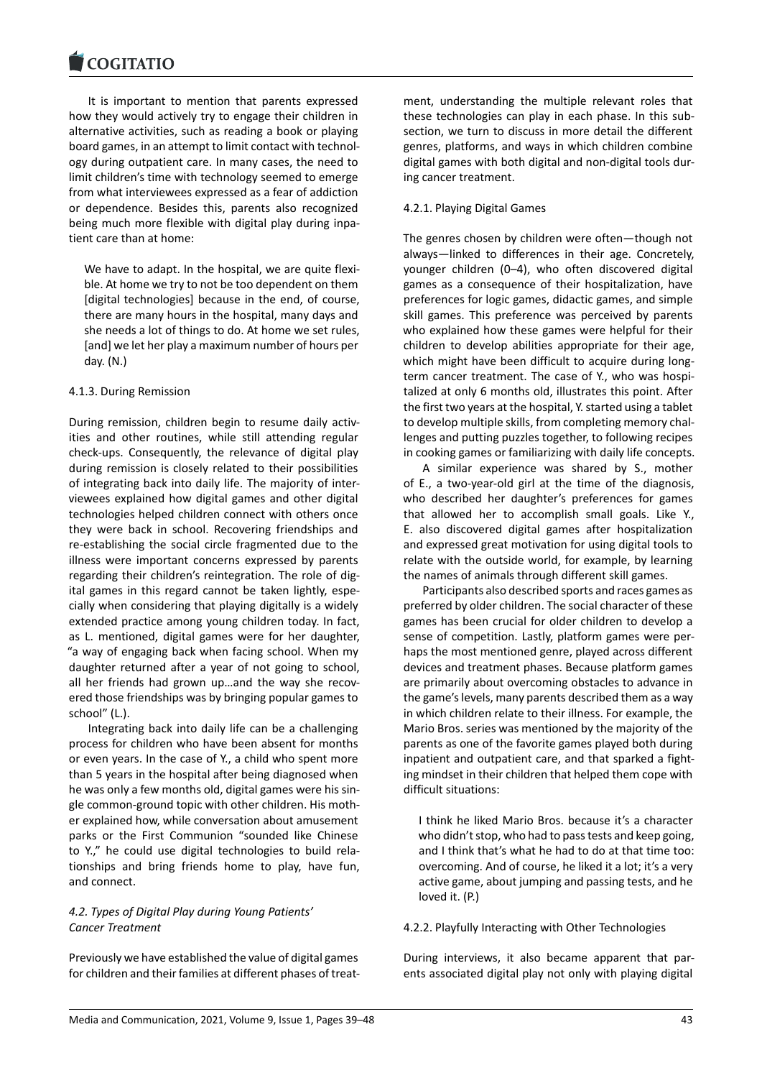It is important to mention that parents expressed [how they would acti](https://www.cogitatiopress.com)vely try to engage their children in alternative activities, such as reading a book or playing board games, in an attempt to limit contact with technology during outpatient care. In many cases, the need to limit children's time with technology seemed to emerge from what interviewees expressed as a fear of addiction or dependence. Besides this, parents also recognized being much more flexible with digital play during inpatient care than at home:

We have to adapt. In the hospital, we are quite flexible. At home we try to not be too dependent on them [digital technologies] because in the end, of course, there are many hours in the hospital, many days and she needs a lot of things to do. At home we set rules, [and] we let her play a maximum number of hours per day. (N.)

# 4.1.3. During Remission

During remission, children begin to resume daily activities and other routines, while still attending regular check-ups. Consequently, the relevance of digital play during remission is closely related to their possibilities of integrating back into daily life. The majority of interviewees explained how digital games and other digital technologies helped children connect with others once they were back in school. Recovering friendships and re-establishing the social circle fragmented due to the illness were important concerns expressed by parents regarding their children's reintegration. The role of digital games in this regard cannot be taken lightly, especially when considering that playing digitally is a widely extended practice among young children today. In fact, as L. mentioned, digital games were for her daughter, "a way of engaging back when facing school. When my daughter returned after a year of not going to school, all her friends had grown up…and the way she recovered those friendships was by bringing popular games to school" (L.).

Integrating back into daily life can be a challenging process for children who have been absent for months or even years. In the case of Y., a child who spent more than 5 years in the hospital after being diagnosed when he was only a few months old, digital games were his single common-ground topic with other children. His mother explained how, while conversation about amusement parks or the First Communion "sounded like Chinese to Y.," he could use digital technologies to build relationships and bring friends home to play, have fun, and connect.

# *4.2. Types of Digital Play during Young Patients' Cancer Treatment*

Previously we have established the value of digital games for children and their families at different phases of treatment, understanding the multiple relevant roles that these technologies can play in each phase. In this subsection, we turn to discuss in more detail the different genres, platforms, and ways in which children combine digital games with both digital and non-digital tools during cancer treatment.

# 4.2.1. Playing Digital Games

The genres chosen by children were often—though not always—linked to differences in their age. Concretely, younger children (0–4), who often discovered digital games as a consequence of their hospitalization, have preferences for logic games, didactic games, and simple skill games. This preference was perceived by parents who explained how these games were helpful for their children to develop abilities appropriate for their age, which might have been difficult to acquire during longterm cancer treatment. The case of Y., who was hospitalized at only 6 months old, illustrates this point. After the first two years at the hospital, Y. started using a tablet to develop multiple skills, from completing memory challenges and putting puzzles together, to following recipes in cooking games or familiarizing with daily life concepts.

A similar experience was shared by S., mother of E., a two-year-old girl at the time of the diagnosis, who described her daughter's preferences for games that allowed her to accomplish small goals. Like Y., E. also discovered digital games after hospitalization and expressed great motivation for using digital tools to relate with the outside world, for example, by learning the names of animals through different skill games.

Participants also described sports and races games as preferred by older children. The social character of these games has been crucial for older children to develop a sense of competition. Lastly, platform games were perhaps the most mentioned genre, played across different devices and treatment phases. Because platform games are primarily about overcoming obstacles to advance in the game's levels, many parents described them as a way in which children relate to their illness. For example, the Mario Bros. series was mentioned by the majority of the parents as one of the favorite games played both during inpatient and outpatient care, and that sparked a fighting mindset in their children that helped them cope with difficult situations:

I think he liked Mario Bros. because it's a character who didn't stop, who had to pass tests and keep going, and I think that's what he had to do at that time too: overcoming. And of course, he liked it a lot; it's a very active game, about jumping and passing tests, and he loved it. (P.)

### 4.2.2. Playfully Interacting with Other Technologies

During interviews, it also became apparent that parents associated digital play not only with playing digital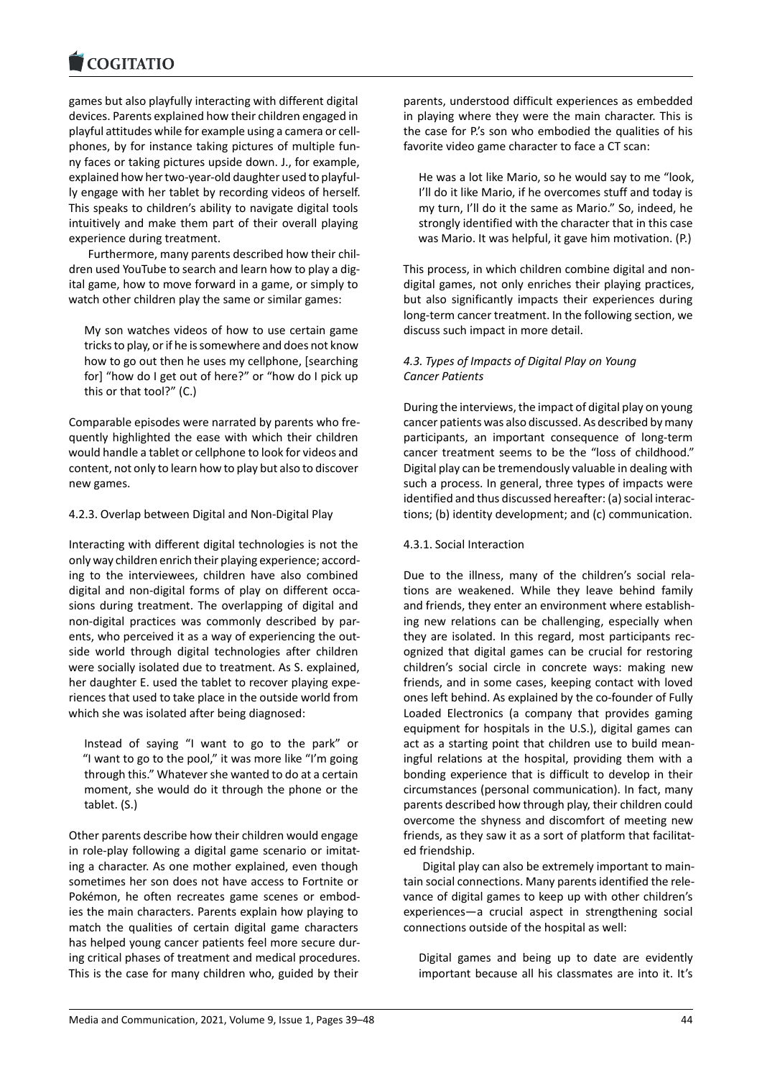#### **LOGITATIO**

games but also playfully interacting with different digital [devices. Parents expl](https://www.cogitatiopress.com)ained how their children engaged in playful attitudes while for example using a camera or cellphones, by for instance taking pictures of multiple funny faces or taking pictures upside down. J., for example, explained how her two-year-old daughter used to playfully engage with her tablet by recording videos of herself. This speaks to children's ability to navigate digital tools intuitively and make them part of their overall playing experience during treatment.

Furthermore, many parents described how their children used YouTube to search and learn how to play a digital game, how to move forward in a game, or simply to watch other children play the same or similar games:

My son watches videos of how to use certain game tricks to play, or if he is somewhere and does not know how to go out then he uses my cellphone, [searching for] "how do I get out of here?" or "how do I pick up this or that tool?" (C.)

Comparable episodes were narrated by parents who frequently highlighted the ease with which their children would handle a tablet or cellphone to look for videos and content, not only to learn how to play but also to discover new games.

# 4.2.3. Overlap between Digital and Non-Digital Play

Interacting with different digital technologies is not the only way children enrich their playing experience; according to the interviewees, children have also combined digital and non-digital forms of play on different occasions during treatment. The overlapping of digital and non-digital practices was commonly described by parents, who perceived it as a way of experiencing the outside world through digital technologies after children were socially isolated due to treatment. As S. explained, her daughter E. used the tablet to recover playing experiences that used to take place in the outside world from which she was isolated after being diagnosed:

Instead of saying "I want to go to the park" or "I want to go to the pool," it was more like "I'm going through this." Whatever she wanted to do at a certain moment, she would do it through the phone or the tablet. (S.)

Other parents describe how their children would engage in role-play following a digital game scenario or imitating a character. As one mother explained, even though sometimes her son does not have access to Fortnite or Pokémon, he often recreates game scenes or embodies the main characters. Parents explain how playing to match the qualities of certain digital game characters has helped young cancer patients feel more secure during critical phases of treatment and medical procedures. This is the case for many children who, guided by their

parents, understood difficult experiences as embedded in playing where they were the main character. This is the case for P.'s son who embodied the qualities of his favorite video game character to face a CT scan:

He was a lot like Mario, so he would say to me "look, I'll do it like Mario, if he overcomes stuff and today is my turn, I'll do it the same as Mario." So, indeed, he strongly identified with the character that in this case was Mario. It was helpful, it gave him motivation. (P.)

This process, in which children combine digital and nondigital games, not only enriches their playing practices, but also significantly impacts their experiences during long-term cancer treatment. In the following section, we discuss such impact in more detail.

# *4.3. Types of Impacts of Digital Play on Young Cancer Patients*

During the interviews, the impact of digital play on young cancer patients was also discussed. As described by many participants, an important consequence of long-term cancer treatment seems to be the "loss of childhood." Digital play can be tremendously valuable in dealing with such a process. In general, three types of impacts were identified and thus discussed hereafter: (a) social interactions; (b) identity development; and (c) communication.

# 4.3.1. Social Interaction

Due to the illness, many of the children's social relations are weakened. While they leave behind family and friends, they enter an environment where establishing new relations can be challenging, especially when they are isolated. In this regard, most participants recognized that digital games can be crucial for restoring children's social circle in concrete ways: making new friends, and in some cases, keeping contact with loved ones left behind. As explained by the co-founder of Fully Loaded Electronics (a company that provides gaming equipment for hospitals in the U.S.), digital games can act as a starting point that children use to build meaningful relations at the hospital, providing them with a bonding experience that is difficult to develop in their circumstances (personal communication). In fact, many parents described how through play, their children could overcome the shyness and discomfort of meeting new friends, as they saw it as a sort of platform that facilitated friendship.

Digital play can also be extremely important to maintain social connections. Many parents identified the relevance of digital games to keep up with other children's experiences—a crucial aspect in strengthening social connections outside of the hospital as well:

Digital games and being up to date are evidently important because all his classmates are into it. It's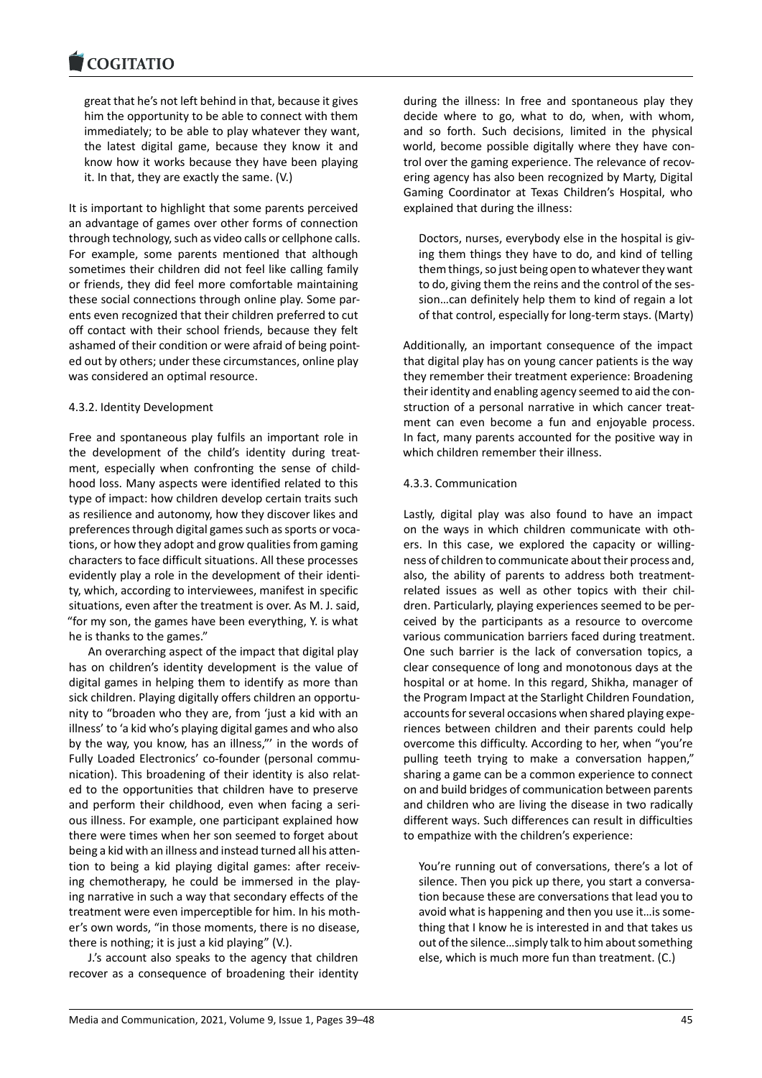#### COGHALIO

great that he's not left behind in that, because it gives [him the opportun](https://www.cogitatiopress.com)ity to be able to connect with them immediately; to be able to play whatever they want, the latest digital game, because they know it and know how it works because they have been playing it. In that, they are exactly the same. (V.)

It is important to highlight that some parents perceived an advantage of games over other forms of connection through technology, such as video calls or cellphone calls. For example, some parents mentioned that although sometimes their children did not feel like calling family or friends, they did feel more comfortable maintaining these social connections through online play. Some parents even recognized that their children preferred to cut off contact with their school friends, because they felt ashamed of their condition or were afraid of being pointed out by others; under these circumstances, online play was considered an optimal resource.

### 4.3.2. Identity Development

Free and spontaneous play fulfils an important role in the development of the child's identity during treatment, especially when confronting the sense of childhood loss. Many aspects were identified related to this type of impact: how children develop certain traits such as resilience and autonomy, how they discover likes and preferences through digital games such as sports or vocations, or how they adopt and grow qualities from gaming characters to face difficult situations. All these processes evidently play a role in the development of their identity, which, according to interviewees, manifest in specific situations, even after the treatment is over. As M. J. said, "for my son, the games have been everything, Y. is what he is thanks to the games."

An overarching aspect of the impact that digital play has on children's identity development is the value of digital games in helping them to identify as more than sick children. Playing digitally offers children an opportunity to "broaden who they are, from 'just a kid with an illness' to 'a kid who's playing digital games and who also by the way, you know, has an illness,"' in the words of Fully Loaded Electronics' co-founder (personal communication). This broadening of their identity is also related to the opportunities that children have to preserve and perform their childhood, even when facing a serious illness. For example, one participant explained how there were times when her son seemed to forget about being a kid with an illness and instead turned all his attention to being a kid playing digital games: after receiving chemotherapy, he could be immersed in the playing narrative in such a way that secondary effects of the treatment were even imperceptible for him. In his mother's own words, "in those moments, there is no disease, there is nothing; it is just a kid playing" (V.).

J.'s account also speaks to the agency that children recover as a consequence of broadening their identity during the illness: In free and spontaneous play they decide where to go, what to do, when, with whom, and so forth. Such decisions, limited in the physical world, become possible digitally where they have control over the gaming experience. The relevance of recovering agency has also been recognized by Marty, Digital Gaming Coordinator at Texas Children's Hospital, who explained that during the illness:

Doctors, nurses, everybody else in the hospital is giving them things they have to do, and kind of telling them things, so just being open to whatever they want to do, giving them the reins and the control of the session…can definitely help them to kind of regain a lot of that control, especially for long-term stays. (Marty)

Additionally, an important consequence of the impact that digital play has on young cancer patients is the way they remember their treatment experience: Broadening their identity and enabling agency seemed to aid the construction of a personal narrative in which cancer treatment can even become a fun and enjoyable process. In fact, many parents accounted for the positive way in which children remember their illness.

# 4.3.3. Communication

Lastly, digital play was also found to have an impact on the ways in which children communicate with others. In this case, we explored the capacity or willingness of children to communicate about their process and, also, the ability of parents to address both treatmentrelated issues as well as other topics with their children. Particularly, playing experiences seemed to be perceived by the participants as a resource to overcome various communication barriers faced during treatment. One such barrier is the lack of conversation topics, a clear consequence of long and monotonous days at the hospital or at home. In this regard, Shikha, manager of the Program Impact at the Starlight Children Foundation, accounts for several occasions when shared playing experiences between children and their parents could help overcome this difficulty. According to her, when "you're pulling teeth trying to make a conversation happen," sharing a game can be a common experience to connect on and build bridges of communication between parents and children who are living the disease in two radically different ways. Such differences can result in difficulties to empathize with the children's experience:

You're running out of conversations, there's a lot of silence. Then you pick up there, you start a conversation because these are conversations that lead you to avoid what is happening and then you use it…is something that I know he is interested in and that takes us out of the silence…simply talk to him about something else, which is much more fun than treatment. (C.)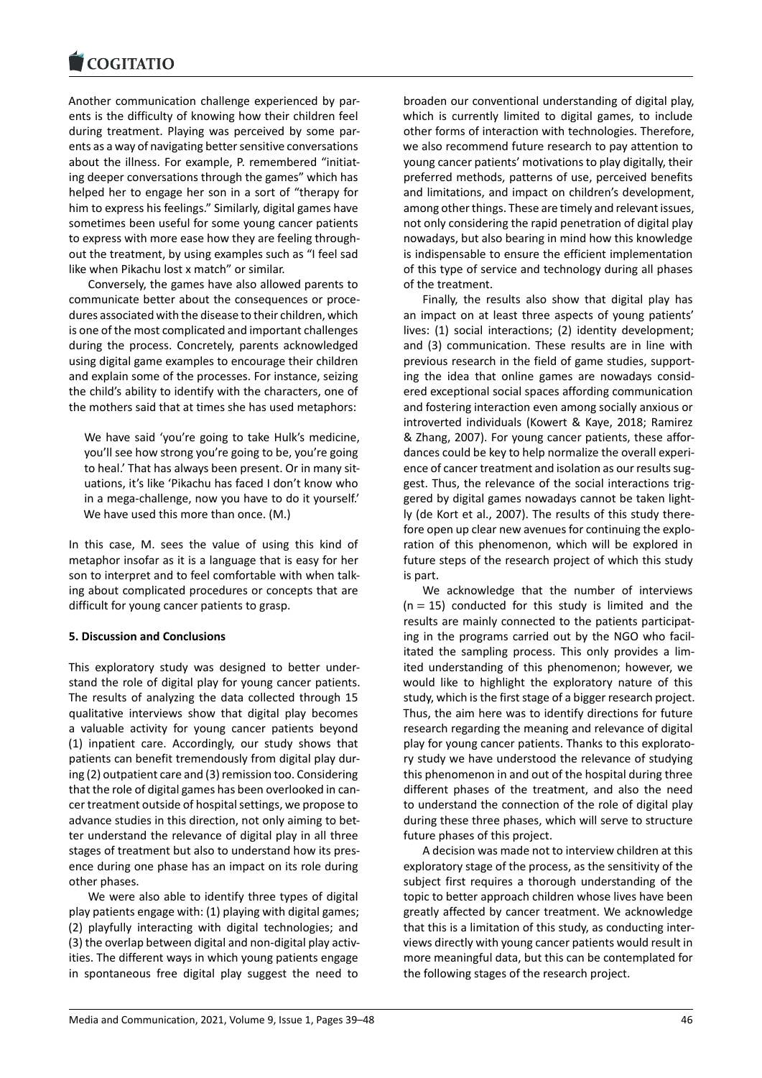#### COQUATIO

Another communication challenge experienced by par[ents is the difficulty](https://www.cogitatiopress.com) of knowing how their children feel during treatment. Playing was perceived by some parents as a way of navigating better sensitive conversations about the illness. For example, P. remembered "initiating deeper conversations through the games" which has helped her to engage her son in a sort of "therapy for him to express his feelings." Similarly, digital games have sometimes been useful for some young cancer patients to express with more ease how they are feeling throughout the treatment, by using examples such as "I feel sad like when Pikachu lost x match" or similar.

Conversely, the games have also allowed parents to communicate better about the consequences or procedures associated with the disease to their children, which is one of the most complicated and important challenges during the process. Concretely, parents acknowledged using digital game examples to encourage their children and explain some of the processes. For instance, seizing the child's ability to identify with the characters, one of the mothers said that at times she has used metaphors:

We have said 'you're going to take Hulk's medicine, you'll see how strong you're going to be, you're going to heal.' That has always been present. Or in many situations, it's like 'Pikachu has faced I don't know who in a mega-challenge, now you have to do it yourself.' We have used this more than once. (M.)

In this case, M. sees the value of using this kind of metaphor insofar as it is a language that is easy for her son to interpret and to feel comfortable with when talking about complicated procedures or concepts that are difficult for young cancer patients to grasp.

# **5. Discussion and Conclusions**

This exploratory study was designed to better understand the role of digital play for young cancer patients. The results of analyzing the data collected through 15 qualitative interviews show that digital play becomes a valuable activity for young cancer patients beyond (1) inpatient care. Accordingly, our study shows that patients can benefit tremendously from digital play during (2) outpatient care and (3) remission too. Considering that the role of digital games has been overlooked in cancer treatment outside of hospital settings, we propose to advance studies in this direction, not only aiming to better understand the relevance of digital play in all three stages of treatment but also to understand how its presence during one phase has an impact on its role during other phases.

We were also able to identify three types of digital play patients engage with: (1) playing with digital games; (2) playfully interacting with digital technologies; and (3) the overlap between digital and non-digital play activities. The different ways in which young patients engage in spontaneous free digital play suggest the need to

broaden our conventional understanding of digital play, which is currently limited to digital games, to include other forms of interaction with technologies. Therefore, we also recommend future research to pay attention to young cancer patients' motivations to play digitally, their preferred methods, patterns of use, perceived benefits and limitations, and impact on children's development, among other things. These are timely and relevant issues, not only considering the rapid penetration of digital play nowadays, but also bearing in mind how this knowledge is indispensable to ensure the efficient implementation of this type of service and technology during all phases of the treatment.

Finally, the results also show that digital play has an impact on at least three aspects of young patients' lives: (1) social interactions; (2) identity development; and (3) communication. These results are in line with previous research in the field of game studies, supporting the idea that online games are nowadays considered exceptional social spaces affording communication and fostering interaction even among socially anxious or introverted individuals (Kowert & Kaye, 2018; Ramirez & Zhang, 2007). For young cancer patients, these affordances could be key to help normalize the overall experience of cancer treatment and isolation as our results suggest. Thus, the relevance of the social interactions triggered by digital games nowadays cannot be taken lightly (de Kort et al., 2007). The results of this study therefore open up clear new avenues for continuing the exploration of this phenomenon, which will be explored in future steps of the research project of which this study is part.

We acknowledge that the number of interviews  $(n = 15)$  conducted for this study is limited and the results are mainly connected to the patients participating in the programs carried out by the NGO who facilitated the sampling process. This only provides a limited understanding of this phenomenon; however, we would like to highlight the exploratory nature of this study, which is the first stage of a bigger research project. Thus, the aim here was to identify directions for future research regarding the meaning and relevance of digital play for young cancer patients. Thanks to this exploratory study we have understood the relevance of studying this phenomenon in and out of the hospital during three different phases of the treatment, and also the need to understand the connection of the role of digital play during these three phases, which will serve to structure future phases of this project.

A decision was made not to interview children at this exploratory stage of the process, as the sensitivity of the subject first requires a thorough understanding of the topic to better approach children whose lives have been greatly affected by cancer treatment. We acknowledge that this is a limitation of this study, as conducting interviews directly with young cancer patients would result in more meaningful data, but this can be contemplated for the following stages of the research project.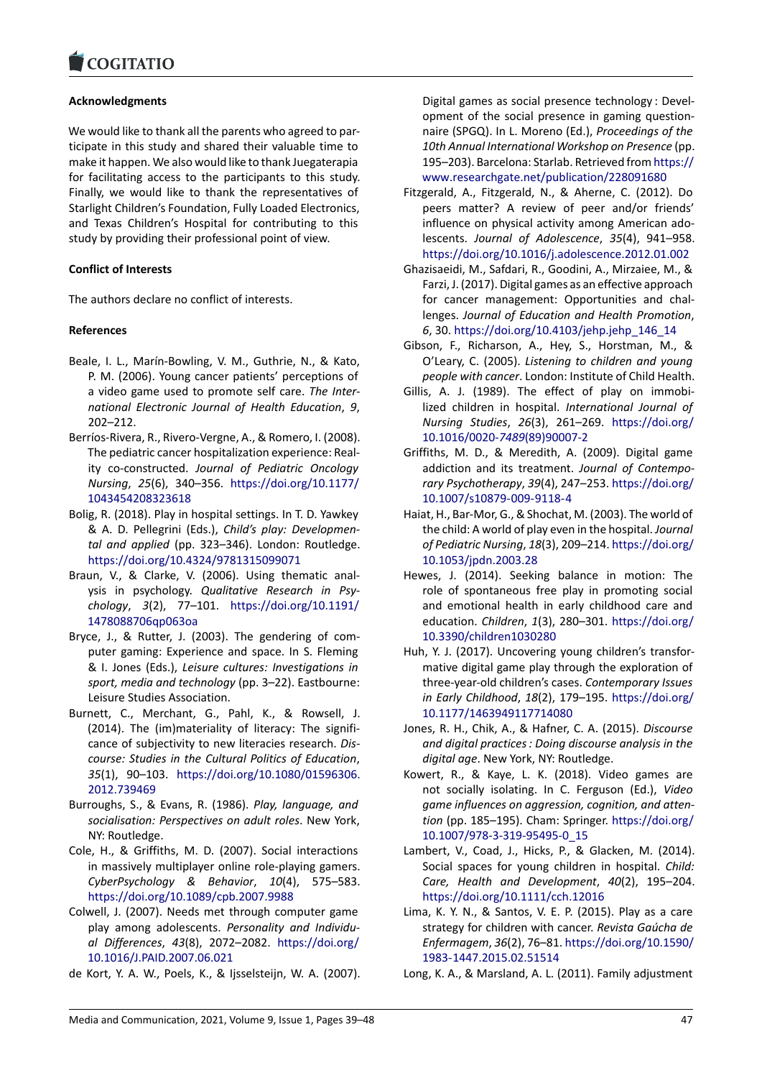#### COGHALIO

# **Acknowledgments**

[We would like to than](https://www.cogitatiopress.com)k all the parents who agreed to participate in this study and shared their valuable time to make it happen. We also would like to thank Juegaterapia for facilitating access to the participants to this study. Finally, we would like to thank the representatives of Starlight Children's Foundation, Fully Loaded Electronics, and Texas Children's Hospital for contributing to this study by providing their professional point of view.

# **Conflict of Interests**

The authors declare no conflict of interests.

# **References**

- Beale, I. L., Marín-Bowling, V. M., Guthrie, N., & Kato, P. M. (2006). Young cancer patients' perceptions of a video game used to promote self care. *The International Electronic Journal of Health Education*, *9*, 202–212.
- Berríos-Rivera, R., Rivero-Vergne, A., & Romero, I. (2008). The pediatric cancer hospitalization experience: Reality co-constructed. *Journal of Pediatric Oncology Nursing*, *25*(6), 340–356. https://doi.org/10.1177/ 1043454208323618
- Bolig, R. (2018). Play in hospital settings. In T. D. Yawkey & A. D. Pellegrini (Eds.), *Child's play: Developmental and applied* (pp. 323–[346\). London: Routledge.](https://doi.org/10.1177/1043454208323618) [https://doi.org/10.4](https://doi.org/10.1177/1043454208323618)324/9781315099071
- Braun, V., & Clarke, V. (2006). Using thematic analysis in psychology. *Qualitative Research in Psychology*, *3*(2), 77–101. https://doi.org/10.1191/ [1478088706qp063oa](https://doi.org/10.4324/9781315099071)
- Bryce, J., & Rutter, J. (2003). The gendering of computer gaming: Experience and space. In S. Fleming & I. Jones (Eds.), *Leisure c[ultures: Investigations in](https://doi.org/10.1191/1478088706qp063oa) [sport, media and tech](https://doi.org/10.1191/1478088706qp063oa)nology* (pp. 3–22). Eastbourne: Leisure Studies Association.
- Burnett, C., Merchant, G., Pahl, K., & Rowsell, J. (2014). The (im)materiality of literacy: The significance of subjectivity to new literacies research. *Discourse: Studies in the Cultural Politics of Education*, *35*(1), 90–103. https://doi.org/10.1080/01596306. 2012.739469
- Burroughs, S., & Evans, R. (1986). *Play, language, and socialisation: Perspectives on adult roles*. New York, NY: Routledge.
- Col[e, H., & Griff](https://doi.org/10.1080/01596306.2012.739469)iths[, M. D. \(2007\). Social interactions](https://doi.org/10.1080/01596306.2012.739469) in massively multiplayer online role-playing gamers. *CyberPsychology & Behavior*, *10*(4), 575–583. https://doi.org/10.1089/cpb.2007.9988
- Colwell, J. (2007). Needs met through computer game play among adolescents. *Personality and Individual Differences*, *43*(8), 2072–2082. https://doi.org/ [10.1016/J.PAID.2007.06.021](https://doi.org/10.1089/cpb.2007.9988)
- de Kort, Y. A. W., Poels, K., & Ijsselsteijn, W. A. (2007).

Digital games as social presence technology : Development of the social presence in gaming questionnaire (SPGQ). In L. Moreno (Ed.), *Proceedings of the 10th Annual International Workshop on Presence* (pp. 195–203). Barcelona: Starlab. Retrieved fromhttps:// www.researchgate.net/publication/228091680

- Fitzgerald, A., Fitzgerald, N., & Aherne, C. (2012). Do peers matter? A review of peer and/or friends' influence on physical activity among Ameri[can ado](https://www.researchgate.net/publication/228091680)lescents. *[Journal of Adolescence](https://www.researchgate.net/publication/228091680)*, *35*(4), 941–958. https://doi.org/10.1016/j.adolescence.2012.01.002
- Ghazisaeidi, M., Safdari, R., Goodini, A., Mirzaiee, M., & Farzi, J. (2017). Digital games as an effective approach for cancer management: Opportunities and challenges. *[Journal of Education and Health Promotion](https://doi.org/10.1016/j.adolescence.2012.01.002)*, *6*, 30. https://doi.org/10.4103/jehp.jehp\_146\_14
- Gibson, F., Richarson, A., Hey, S., Horstman, M., & O'Leary, C. (2005). *Listening to children and young people with cancer*. London: Institute of Child Health.
- Gillis, A. [J. \(1989\). The effect of play on immo](https://doi.org/10.4103/jehp.jehp_146_14)bilized children in hospital. *International Journal of Nursing Studies*, *26*(3), 261–269. https://doi.org/ 10.1016/0020-*7489*(89)90007-2
- Griffiths, M. D., & Meredith, A. (2009). Digital game addiction and its treatment. *Journal of Contemporary Psychotherapy*, *39*(4), 247–253. [https://doi.org/](https://doi.org/10.1016/0020-7489(89)90007-2) [10.1007/s10879-009-9118-4](https://doi.org/10.1016/0020-7489(89)90007-2)
- Haiat, H., Bar-Mor, G., & Shochat, M. (2003). The world of the child: A world of play even in the hospital. *Journal of Pediatric Nursing*, *18*(3), 209–214. [https://doi.org/](https://doi.org/10.1007/s10879-009-9118-4) [10.1053/jpdn.2003.28](https://doi.org/10.1007/s10879-009-9118-4)
- Hewes, J. (2014). Seeking balance in motion: The role of spontaneous free play in promoting social and emotional health in early chil[dhood care and](https://doi.org/10.1053/jpdn.2003.28) [education.](https://doi.org/10.1053/jpdn.2003.28) *Children*, *1*(3), 280–301. https://doi.org/ 10.3390/children1030280
- Huh, Y. J. (2017). Uncovering young children's transformative digital game play through the exploration of three-year-old children's cases. *Cont[emporary Issues](https://doi.org/10.3390/children1030280) [in Early Childhood](https://doi.org/10.3390/children1030280)*, *18*(2), 179–195. https://doi.org/ 10.1177/1463949117714080
- Jones, R. H., Chik, A., & Hafner, C. A. (2015). *Discourse and digital practices : Doing discourse analysis in the digital age*. New York, NY: Routledge.
- Ko[wert, R., & Kaye, L. K. \(201](https://doi.org/10.1177/1463949117714080)8). Vi[deo games are](https://doi.org/10.1177/1463949117714080) not socially isolating. In C. Ferguson (Ed.), *Video game influences on aggression, cognition, and attention* (pp. 185–195). Cham: Springer. https://doi.org/ 10.1007/978-3-319-95495-0\_15
- Lambert, V., Coad, J., Hicks, P., & Glacken, M. (2014). Social spaces for young children in hospital. *Child: Care, Health and Development*, *40*[\(2\), 195–204.](https://doi.org/10.1007/978-3-319-95495-0_15) [https://doi.org/10.1111/cch.120](https://doi.org/10.1007/978-3-319-95495-0_15)16
- Lima, K. Y. N., & Santos, V. E. P. (2015). Play as a care strategy for children with cancer. *Revista Gaúcha de Enfermagem*, *36*(2), 76–81. https://doi.org/10.1590/ [1983-1447.2015.02.51514](https://doi.org/10.1111/cch.12016)
- Long, K. A., & Marsland, A. L. (2011). Family adjustment